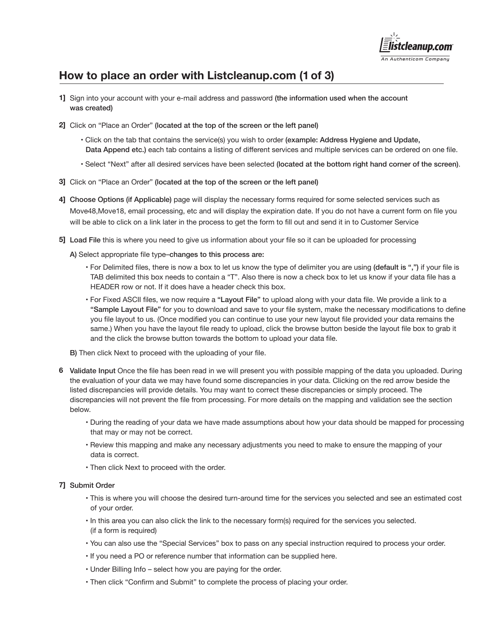

# **How to place an order with Listcleanup.com (1 of 3)**

- 1] Sign into your account with your e-mail address and password (the information used when the account was created)
- Click on "Place an Order" (located at the top of the screen or the left panel) **2]**
	- Click on the tab that contains the service(s) you wish to order (example: Address Hygiene and Update, Data Append etc.) each tab contains a listing of different services and multiple services can be ordered on one file.
	- Select "Next" after all desired services have been selected (located at the bottom right hand corner of the screen).
- Click on "Place an Order" (located at the top of the screen or the left panel) **3]**
- 4] Choose Options (if Applicable) page will display the necessary forms required for some selected services such as Move48,Move18, email processing, etc and will display the expiration date. If you do not have a current form on file you will be able to click on a link later in the process to get the form to fill out and send it in to Customer Service
- Load File this is where you need to give us information about your file so it can be uploaded for processing **5]**

A) Select appropriate file type–changes to this process are:

- For Delimited files, there is now a box to let us know the type of delimiter you are using (default is ",") if your file is TAB delimited this box needs to contain a "T". Also there is now a check box to let us know if your data file has a HEADER row or not. If it does have a header check this box.
- For Fixed ASCII files, we now require a "Layout File" to upload along with your data file. We provide a link to a "Sample Layout File" for you to download and save to your file system, make the necessary modifications to define you file layout to us. (Once modified you can continue to use your new layout file provided your data remains the same.) When you have the layout file ready to upload, click the browse button beside the layout file box to grab it and the click the browse button towards the bottom to upload your data file.

B) Then click Next to proceed with the uploading of your file.

- Validate Input Once the file has been read in we will present you with possible mapping of the data you uploaded. During **6** the evaluation of your data we may have found some discrepancies in your data. Clicking on the red arrow beside the listed discrepancies will provide details. You may want to correct these discrepancies or simply proceed. The discrepancies will not prevent the file from processing. For more details on the mapping and validation see the section below.
	- During the reading of your data we have made assumptions about how your data should be mapped for processing that may or may not be correct.
	- Review this mapping and make any necessary adjustments you need to make to ensure the mapping of your data is correct.
	- Then click Next to proceed with the order.

### Submit Order **7]**

- This is where you will choose the desired turn-around time for the services you selected and see an estimated cost of your order.
- In this area you can also click the link to the necessary form(s) required for the services you selected. (if a form is required)
- You can also use the "Special Services" box to pass on any special instruction required to process your order.
- If you need a PO or reference number that information can be supplied here.
- Under Billing Info select how you are paying for the order.
- Then click "Confirm and Submit" to complete the process of placing your order.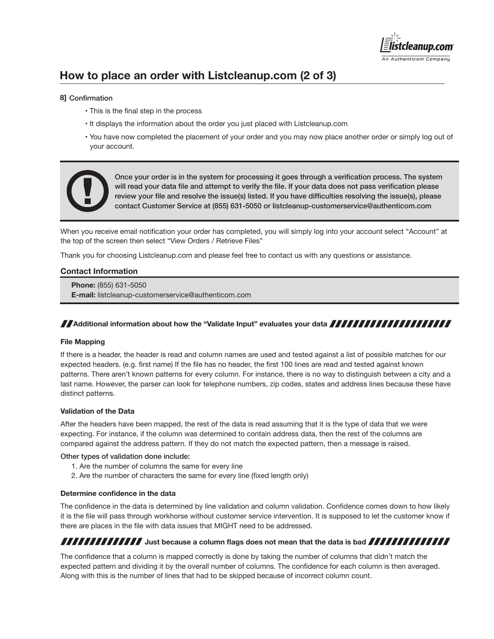

# **How to place an order with Listcleanup.com (2 of 3)**

### Confirmation **8]**

- This is the final step in the process
- It displays the information about the order you just placed with Listcleanup.com
- You have now completed the placement of your order and you may now place another order or simply log out of your account.



Once your order is in the system for processing it goes through a verification process. The system will read your data file and attempt to verify the file. If your data does not pass verification please review your file and resolve the issue(s) listed. If you have difficulties resolving the issue(s), please contact Customer Service at (855) 631-5050 or listcleanup-customerservice@authenticom.com

When you receive email notification your order has completed, you will simply log into your account select "Account" at the top of the screen then select "View Orders / Retrieve Files"

Thank you for choosing Listcleanup.com and please feel free to contact us with any questions or assistance.

#### **Contact Information**

 **Phone:** (855) 631-5050  **E-mail:** listcleanup-customerservice@authenticom.com

### **Additional information about how the "Validate Input" evaluates your data <b>ANN TANN TANN TANN TANN**

#### **File Mapping**

If there is a header, the header is read and column names are used and tested against a list of possible matches for our expected headers. (e.g. first name) If the file has no header, the first 100 lines are read and tested against known patterns. There aren't known patterns for every column. For instance, there is no way to distinguish between a city and a last name. However, the parser can look for telephone numbers, zip codes, states and address lines because these have distinct patterns.

#### **Validation of the Data**

After the headers have been mapped, the rest of the data is read assuming that it is the type of data that we were expecting. For instance, if the column was determined to contain address data, then the rest of the columns are compared against the address pattern. If they do not match the expected pattern, then a message is raised.

#### Other types of validation done include:

- 1. Are the number of columns the same for every line
- 2. Are the number of characters the same for every line (fixed length only)

#### **Determine confidence in the data**

The confidence in the data is determined by line validation and column validation. Confidence comes down to how likely it is the file will pass through workhorse without customer service intervention. It is supposed to let the customer know if there are places in the file with data issues that MIGHT need to be addressed.

## **JUBBERTHERRY SUBSTANDING A COLUMN FIGURE 3 (SOCK) ASSESSMED AS A COLUMN FIGURE 2010 FIGURE 2010**

The confidence that a column is mapped correctly is done by taking the number of columns that didn't match the expected pattern and dividing it by the overall number of columns. The confidence for each column is then averaged. Along with this is the number of lines that had to be skipped because of incorrect column count.